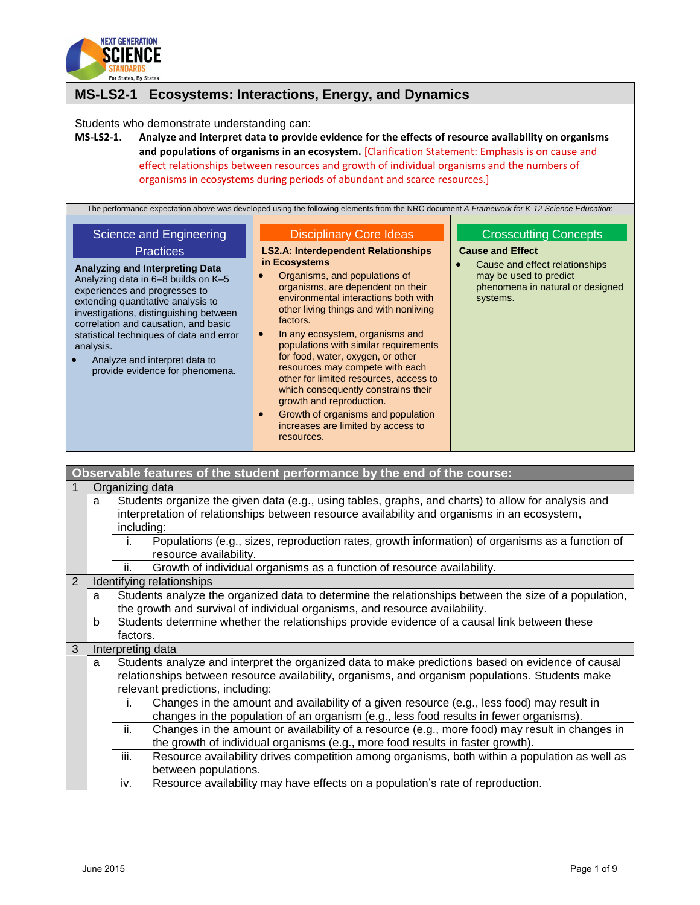

| <b>MS-LS2-1</b>                                                                                                                                                                                                                                                                                                                                                                                             | Ecosystems: Interactions, Energy, and Dynamics                                                                                                                                                                                                                                                                                                                                                                                                                                                                                                                                                                                            |                                                                                                                                                                     |
|-------------------------------------------------------------------------------------------------------------------------------------------------------------------------------------------------------------------------------------------------------------------------------------------------------------------------------------------------------------------------------------------------------------|-------------------------------------------------------------------------------------------------------------------------------------------------------------------------------------------------------------------------------------------------------------------------------------------------------------------------------------------------------------------------------------------------------------------------------------------------------------------------------------------------------------------------------------------------------------------------------------------------------------------------------------------|---------------------------------------------------------------------------------------------------------------------------------------------------------------------|
| Students who demonstrate understanding can:<br>$MS-LS2-1.$                                                                                                                                                                                                                                                                                                                                                  | Analyze and interpret data to provide evidence for the effects of resource availability on organisms<br>and populations of organisms in an ecosystem. [Clarification Statement: Emphasis is on cause and<br>effect relationships between resources and growth of individual organisms and the numbers of<br>organisms in ecosystems during periods of abundant and scarce resources.]                                                                                                                                                                                                                                                     |                                                                                                                                                                     |
|                                                                                                                                                                                                                                                                                                                                                                                                             | The performance expectation above was developed using the following elements from the NRC document A Framework for K-12 Science Education:                                                                                                                                                                                                                                                                                                                                                                                                                                                                                                |                                                                                                                                                                     |
| Science and Engineering<br><b>Practices</b><br>Analyzing and Interpreting Data<br>Analyzing data in 6-8 builds on K-5<br>experiences and progresses to<br>extending quantitative analysis to<br>investigations, distinguishing between<br>correlation and causation, and basic<br>statistical techniques of data and error<br>analysis.<br>Analyze and interpret data to<br>provide evidence for phenomena. | <b>Disciplinary Core Ideas</b><br><b>LS2.A: Interdependent Relationships</b><br>in Ecosystems<br>Organisms, and populations of<br>organisms, are dependent on their<br>environmental interactions both with<br>other living things and with nonliving<br>factors.<br>In any ecosystem, organisms and<br>populations with similar requirements<br>for food, water, oxygen, or other<br>resources may compete with each<br>other for limited resources, access to<br>which consequently constrains their<br>growth and reproduction.<br>Growth of organisms and population<br>$\bullet$<br>increases are limited by access to<br>resources. | <b>Crosscutting Concepts</b><br><b>Cause and Effect</b><br>Cause and effect relationships<br>may be used to predict<br>phenomena in natural or designed<br>systems. |

|   |                 | Observable features of the student performance by the end of the course:                              |  |
|---|-----------------|-------------------------------------------------------------------------------------------------------|--|
|   | Organizing data |                                                                                                       |  |
|   | a               | Students organize the given data (e.g., using tables, graphs, and charts) to allow for analysis and   |  |
|   |                 | interpretation of relationships between resource availability and organisms in an ecosystem,          |  |
|   |                 | including:                                                                                            |  |
|   |                 | Populations (e.g., sizes, reproduction rates, growth information) of organisms as a function of<br>i. |  |
|   |                 | resource availability.                                                                                |  |
|   |                 | Growth of individual organisms as a function of resource availability.<br>ii.                         |  |
| 2 |                 | Identifying relationships                                                                             |  |
|   | a               | Students analyze the organized data to determine the relationships between the size of a population,  |  |
|   |                 | the growth and survival of individual organisms, and resource availability.                           |  |
|   | b               | Students determine whether the relationships provide evidence of a causal link between these          |  |
|   |                 | factors.                                                                                              |  |
| 3 |                 | Interpreting data                                                                                     |  |
|   | a               | Students analyze and interpret the organized data to make predictions based on evidence of causal     |  |
|   |                 | relationships between resource availability, organisms, and organism populations. Students make       |  |
|   |                 | relevant predictions, including:                                                                      |  |
|   |                 | Changes in the amount and availability of a given resource (e.g., less food) may result in<br>i.      |  |
|   |                 | changes in the population of an organism (e.g., less food results in fewer organisms).                |  |
|   |                 | Changes in the amount or availability of a resource (e.g., more food) may result in changes in<br>ii. |  |
|   |                 | the growth of individual organisms (e.g., more food results in faster growth).                        |  |
|   |                 | Resource availability drives competition among organisms, both within a population as well as<br>iii. |  |
|   |                 | between populations.                                                                                  |  |
|   |                 | Resource availability may have effects on a population's rate of reproduction.<br>iv.                 |  |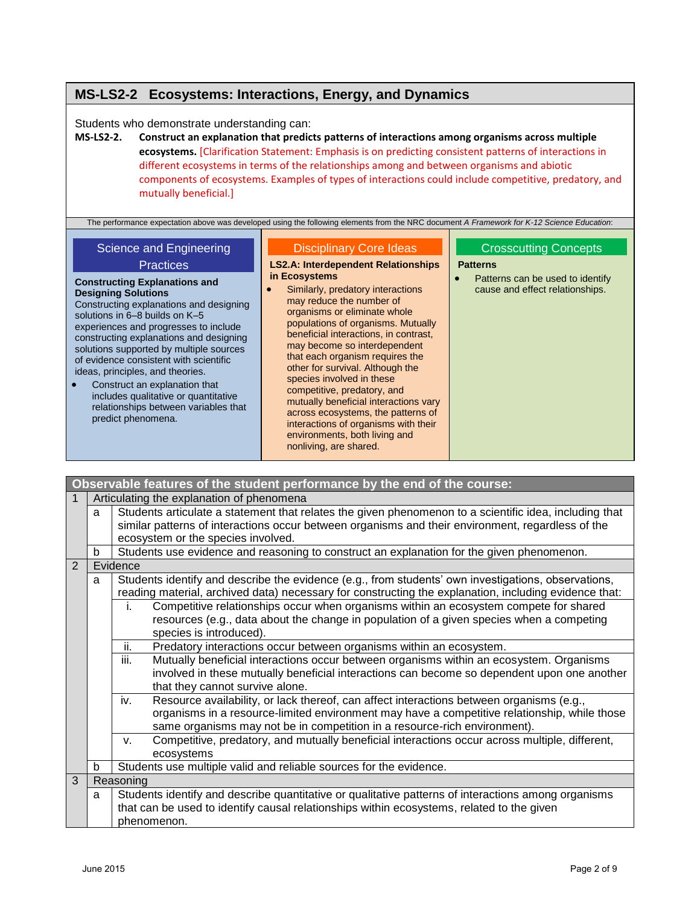## **MS-LS2-2 Ecosystems: Interactions, Energy, and Dynamics**

Students who demonstrate understanding can:

**MS-LS2-2. Construct an explanation that predicts patterns of interactions among organisms across multiple ecosystems.** [Clarification Statement: Emphasis is on predicting consistent patterns of interactions in different ecosystems in terms of the relationships among and between organisms and abiotic components of ecosystems. Examples of types of interactions could include competitive, predatory, and mutually beneficial.]

The performance expectation above was developed using the following elements from the NRC document *A Framework for K-12 Science Education*:

# Science and Engineering

#### **Practices**

#### **Constructing Explanations and Designing Solutions** Constructing explanations and designing solutions in 6–8 builds on K–5 experiences and progresses to include constructing explanations and designing solutions supported by multiple sources of evidence consistent with scientific ideas, principles, and theories.

 Construct an explanation that includes qualitative or quantitative relationships between variables that predict phenomena.

### Disciplinary Core Ideas

#### **LS2.A: Interdependent Relationships in Ecosystems**

 Similarly, predatory interactions may reduce the number of organisms or eliminate whole populations of organisms. Mutually beneficial interactions, in contrast, may become so interdependent that each organism requires the other for survival. Although the species involved in these competitive, predatory, and mutually beneficial interactions vary across ecosystems, the patterns of interactions of organisms with their environments, both living and nonliving, are shared.

### Crosscutting Concept[s](http://www.nap.edu/openbook.php?record_id=13165&page=85)

#### **[Patterns](http://www.nap.edu/openbook.php?record_id=13165&page=85)**

• Patterns can be used to identify [cause and effect relationships.](http://www.nap.edu/openbook.php?record_id=13165&page=85)

|                |   | Observable features of the student performance by the end of the course:                                                                                                                                                                                                     |  |  |
|----------------|---|------------------------------------------------------------------------------------------------------------------------------------------------------------------------------------------------------------------------------------------------------------------------------|--|--|
|                |   | Articulating the explanation of phenomena                                                                                                                                                                                                                                    |  |  |
|                | a | Students articulate a statement that relates the given phenomenon to a scientific idea, including that<br>similar patterns of interactions occur between organisms and their environment, regardless of the<br>ecosystem or the species involved.                            |  |  |
|                | b | Students use evidence and reasoning to construct an explanation for the given phenomenon.                                                                                                                                                                                    |  |  |
| $\overline{2}$ |   | Evidence                                                                                                                                                                                                                                                                     |  |  |
|                | a | Students identify and describe the evidence (e.g., from students' own investigations, observations,<br>reading material, archived data) necessary for constructing the explanation, including evidence that:                                                                 |  |  |
|                |   | Competitive relationships occur when organisms within an ecosystem compete for shared<br>j.<br>resources (e.g., data about the change in population of a given species when a competing<br>species is introduced).                                                           |  |  |
|                |   | Predatory interactions occur between organisms within an ecosystem.<br>ii.                                                                                                                                                                                                   |  |  |
|                |   | iii.<br>Mutually beneficial interactions occur between organisms within an ecosystem. Organisms<br>involved in these mutually beneficial interactions can become so dependent upon one another<br>that they cannot survive alone.                                            |  |  |
|                |   | Resource availability, or lack thereof, can affect interactions between organisms (e.g.,<br>iv.<br>organisms in a resource-limited environment may have a competitive relationship, while those<br>same organisms may not be in competition in a resource-rich environment). |  |  |
|                |   | Competitive, predatory, and mutually beneficial interactions occur across multiple, different,<br>V.<br>ecosystems                                                                                                                                                           |  |  |
|                | b | Students use multiple valid and reliable sources for the evidence.                                                                                                                                                                                                           |  |  |
| 3              |   | Reasoning                                                                                                                                                                                                                                                                    |  |  |
|                | a | Students identify and describe quantitative or qualitative patterns of interactions among organisms                                                                                                                                                                          |  |  |
|                |   | that can be used to identify causal relationships within ecosystems, related to the given<br>phenomenon.                                                                                                                                                                     |  |  |
|                |   |                                                                                                                                                                                                                                                                              |  |  |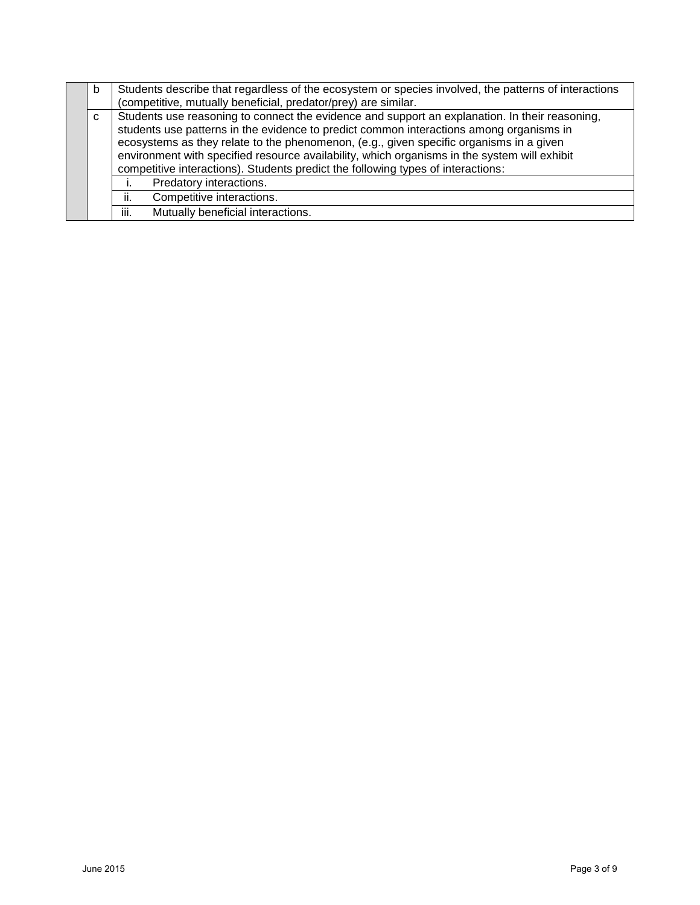|   | b | Students describe that regardless of the ecosystem or species involved, the patterns of interactions<br>(competitive, mutually beneficial, predator/prey) are similar.                                                                                                                                                                                                                                                                                                   |
|---|---|--------------------------------------------------------------------------------------------------------------------------------------------------------------------------------------------------------------------------------------------------------------------------------------------------------------------------------------------------------------------------------------------------------------------------------------------------------------------------|
| C |   | Students use reasoning to connect the evidence and support an explanation. In their reasoning,<br>students use patterns in the evidence to predict common interactions among organisms in<br>ecosystems as they relate to the phenomenon, (e.g., given specific organisms in a given<br>environment with specified resource availability, which organisms in the system will exhibit<br>competitive interactions). Students predict the following types of interactions: |
|   |   | Predatory interactions.                                                                                                                                                                                                                                                                                                                                                                                                                                                  |
|   |   | Competitive interactions.<br>ii.                                                                                                                                                                                                                                                                                                                                                                                                                                         |
|   |   | Mutually beneficial interactions.<br>iii.                                                                                                                                                                                                                                                                                                                                                                                                                                |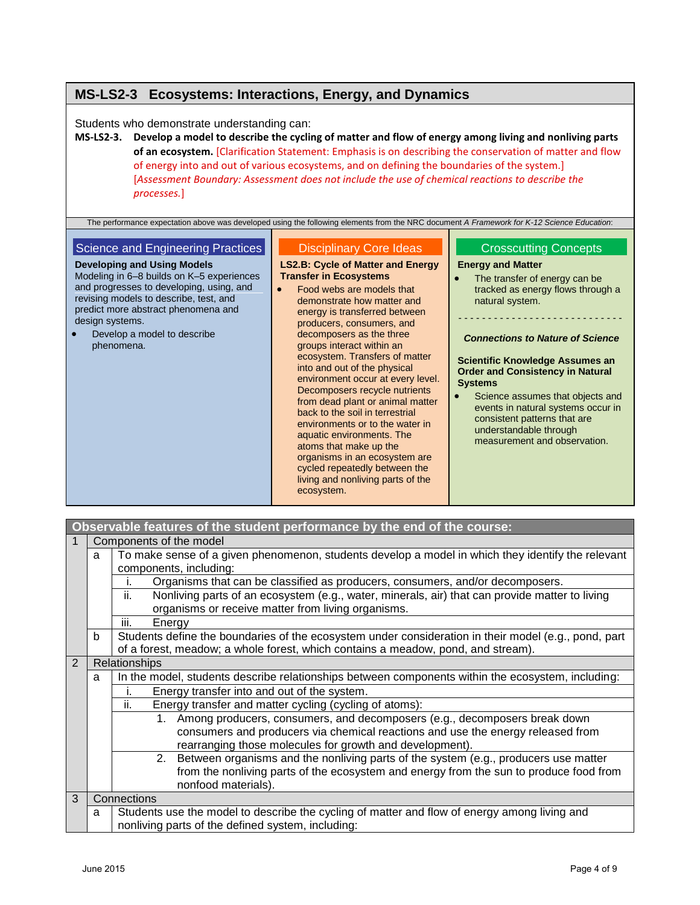## **MS-LS2-3 Ecosystems: Interactions, Energy, and Dynamics**

Students who demonstrate understanding can:

**MS-LS2-3. Develop a model to describe the cycling of matter and flow of energy among living and nonliving parts of an ecosystem.** [Clarification Statement: Emphasis is on describing the conservation of matter and flow of energy into and out of various ecosystems, and on defining the boundaries of the system.] [*Assessment Boundary: Assessment does not include the use of chemical reactions to describe the processes.*]

The performance expectation above was developed using the following elements from the NRC document *A Framework for K-12 Science Education*: Science and Engineering Practices **Developing and Using Models** Modeling in 6–8 builds on K–5 experiences and progresses to developing, using, and revising models to describe, test, and predict more abstract phenomena and design systems. Develop a model to describe phenomena. Disciplinary Core Ideas **LS2.B: Cycle of Matter and Energy Transfer in Ecosystems** Food webs are models that demonstrate how matter and energy is transferred between producers, consumers, and decomposers as the three groups interact within an ecosystem. Transfers of matter into and out of the physical environment occur at every level. Decomposers recycle nutrients from dead plant or animal matter Crosscutting Concept[s](http://www.nap.edu/openbook.php?record_id=13165&page=94) **[Energy and Matter](http://www.nap.edu/openbook.php?record_id=13165&page=94)** • The transfer of energy can be [tracked as energy flows through a](http://www.nap.edu/openbook.php?record_id=13165&page=94)  [natural system.](http://www.nap.edu/openbook.php?record_id=13165&page=94) - - - - - - - - - - - - - - - - - - - - - - - - - - - - *Connections to Nature of Science* **Scientific Knowledge Assumes an Order and Consistency in Natural Systems •** Science assumes that objects and

> back to the soil in terrestrial environments or to the water in aquatic environments. The atoms that make up the organisms in an ecosystem are cycled repeatedly between the

events in natural systems occur in consistent patterns that are understandable through measurement and observation.

|   |   | living and nonliving parts of the<br>ecosystem.                                                       |  |  |  |
|---|---|-------------------------------------------------------------------------------------------------------|--|--|--|
|   |   |                                                                                                       |  |  |  |
|   |   |                                                                                                       |  |  |  |
|   |   | Observable features of the student performance by the end of the course:                              |  |  |  |
|   |   | Components of the model                                                                               |  |  |  |
|   | a | To make sense of a given phenomenon, students develop a model in which they identify the relevant     |  |  |  |
|   |   | components, including:                                                                                |  |  |  |
|   |   | Organisms that can be classified as producers, consumers, and/or decomposers.                         |  |  |  |
|   |   | Nonliving parts of an ecosystem (e.g., water, minerals, air) that can provide matter to living<br>ii. |  |  |  |
|   |   | organisms or receive matter from living organisms.                                                    |  |  |  |
|   |   | iii.<br>Energy                                                                                        |  |  |  |
|   | b | Students define the boundaries of the ecosystem under consideration in their model (e.g., pond, part  |  |  |  |
|   |   | of a forest, meadow; a whole forest, which contains a meadow, pond, and stream).                      |  |  |  |
| 2 |   | Relationships                                                                                         |  |  |  |
|   | a | In the model, students describe relationships between components within the ecosystem, including:     |  |  |  |
|   |   | Energy transfer into and out of the system.<br>İ.                                                     |  |  |  |
|   |   | ii.<br>Energy transfer and matter cycling (cycling of atoms):                                         |  |  |  |
|   |   | Among producers, consumers, and decomposers (e.g., decomposers break down<br>1.                       |  |  |  |
|   |   | consumers and producers via chemical reactions and use the energy released from                       |  |  |  |
|   |   | rearranging those molecules for growth and development).                                              |  |  |  |
|   |   | 2. Between organisms and the nonliving parts of the system (e.g., producers use matter                |  |  |  |
|   |   | from the nonliving parts of the ecosystem and energy from the sun to produce food from                |  |  |  |

### 3 Connections a Students use the model to describe the cycling of matter and flow of energy among living and nonliving parts of the defined system, including:

nonfood materials).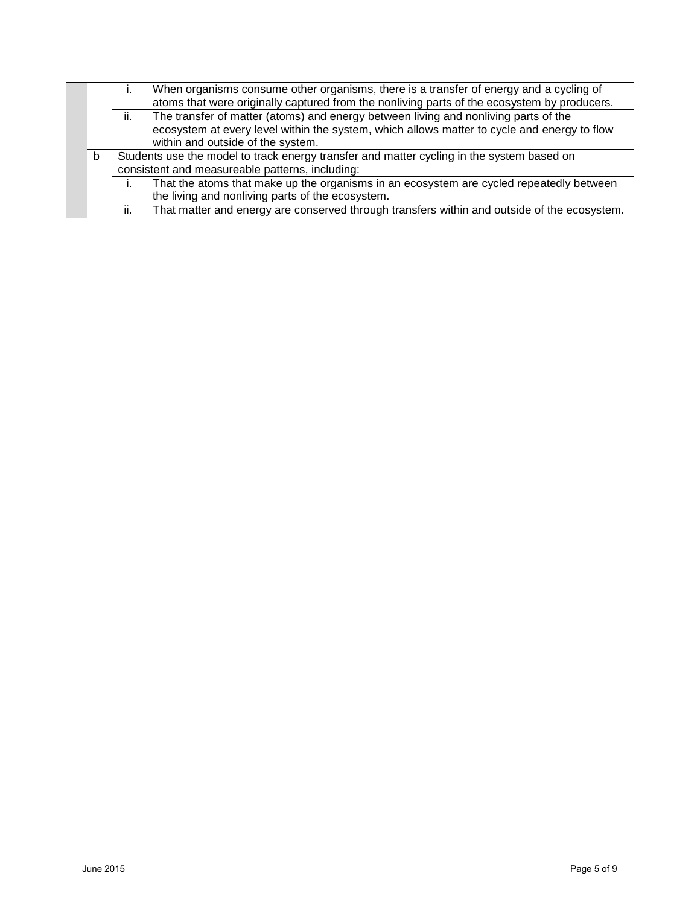|   | When organisms consume other organisms, there is a transfer of energy and a cycling of<br>atoms that were originally captured from the nonliving parts of the ecosystem by producers.                                          |
|---|--------------------------------------------------------------------------------------------------------------------------------------------------------------------------------------------------------------------------------|
|   | The transfer of matter (atoms) and energy between living and nonliving parts of the<br>ii.<br>ecosystem at every level within the system, which allows matter to cycle and energy to flow<br>within and outside of the system. |
| b | Students use the model to track energy transfer and matter cycling in the system based on<br>consistent and measureable patterns, including:                                                                                   |
|   | That the atoms that make up the organisms in an ecosystem are cycled repeatedly between<br>the living and nonliving parts of the ecosystem.                                                                                    |
|   | That matter and energy are conserved through transfers within and outside of the ecosystem.<br>ii.                                                                                                                             |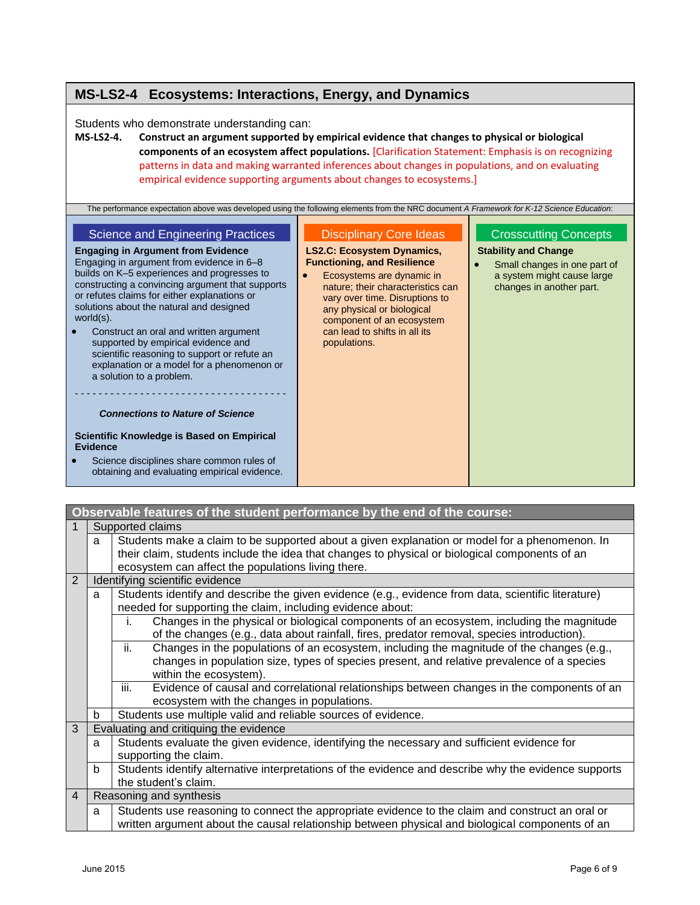## **MS-LS2-4 Ecosystems: Interactions, Energy, and Dynamics**

Students who demonstrate understanding can:

**MS-LS2-4. Construct an argument supported by empirical evidence that changes to physical or biological components of an ecosystem affect populations.** [Clarification Statement: Emphasis is on recognizing patterns in data and making warranted inferences about changes in populations, and on evaluating empirical evidence supporting arguments about changes to ecosystems.]

| The performance expectation above was developed using the following elements from the NRC document A Framework for K-12 Science Education:                                                                                                                                                                                                                                                                                                                                                                                                                                                                                                                                                                                                                             |                                                                                                                                                                                                                                                                                                                           |                                                                                                                                                       |
|------------------------------------------------------------------------------------------------------------------------------------------------------------------------------------------------------------------------------------------------------------------------------------------------------------------------------------------------------------------------------------------------------------------------------------------------------------------------------------------------------------------------------------------------------------------------------------------------------------------------------------------------------------------------------------------------------------------------------------------------------------------------|---------------------------------------------------------------------------------------------------------------------------------------------------------------------------------------------------------------------------------------------------------------------------------------------------------------------------|-------------------------------------------------------------------------------------------------------------------------------------------------------|
| <b>Science and Engineering Practices</b><br><b>Engaging in Argument from Evidence</b><br>Engaging in argument from evidence in 6-8<br>builds on K-5 experiences and progresses to<br>constructing a convincing argument that supports<br>or refutes claims for either explanations or<br>solutions about the natural and designed<br>world $(s)$ .<br>Construct an oral and written argument<br>supported by empirical evidence and<br>scientific reasoning to support or refute an<br>explanation or a model for a phenomenon or<br>a solution to a problem.<br><b>Connections to Nature of Science</b><br>Scientific Knowledge is Based on Empirical<br><b>Evidence</b><br>Science disciplines share common rules of<br>obtaining and evaluating empirical evidence. | <b>Disciplinary Core Ideas</b><br><b>LS2.C: Ecosystem Dynamics,</b><br><b>Functioning, and Resilience</b><br>Ecosystems are dynamic in<br>nature; their characteristics can<br>vary over time. Disruptions to<br>any physical or biological<br>component of an ecosystem<br>can lead to shifts in all its<br>populations. | <b>Crosscutting Concepts</b><br><b>Stability and Change</b><br>Small changes in one part of<br>a system might cause large<br>changes in another part. |

|                |   | Observable features of the student performance by the end of the course:                                                                                                                      |
|----------------|---|-----------------------------------------------------------------------------------------------------------------------------------------------------------------------------------------------|
|                |   | Supported claims                                                                                                                                                                              |
|                | a | Students make a claim to be supported about a given explanation or model for a phenomenon. In                                                                                                 |
|                |   | their claim, students include the idea that changes to physical or biological components of an                                                                                                |
|                |   | ecosystem can affect the populations living there.                                                                                                                                            |
| 2              |   | Identifying scientific evidence                                                                                                                                                               |
|                | a | Students identify and describe the given evidence (e.g., evidence from data, scientific literature)                                                                                           |
|                |   | needed for supporting the claim, including evidence about:                                                                                                                                    |
|                |   | Changes in the physical or biological components of an ecosystem, including the magnitude<br>i.<br>of the changes (e.g., data about rainfall, fires, predator removal, species introduction). |
|                |   | ii.<br>Changes in the populations of an ecosystem, including the magnitude of the changes (e.g.,                                                                                              |
|                |   | changes in population size, types of species present, and relative prevalence of a species                                                                                                    |
|                |   | within the ecosystem).                                                                                                                                                                        |
|                |   | iii.<br>Evidence of causal and correlational relationships between changes in the components of an                                                                                            |
|                |   | ecosystem with the changes in populations.                                                                                                                                                    |
|                | b | Students use multiple valid and reliable sources of evidence.                                                                                                                                 |
| 3              |   | Evaluating and critiquing the evidence                                                                                                                                                        |
|                | a | Students evaluate the given evidence, identifying the necessary and sufficient evidence for                                                                                                   |
|                |   | supporting the claim.                                                                                                                                                                         |
|                | b | Students identify alternative interpretations of the evidence and describe why the evidence supports                                                                                          |
|                |   | the student's claim.                                                                                                                                                                          |
| $\overline{4}$ |   | Reasoning and synthesis                                                                                                                                                                       |
|                | a | Students use reasoning to connect the appropriate evidence to the claim and construct an oral or                                                                                              |
|                |   | written argument about the causal relationship between physical and biological components of an                                                                                               |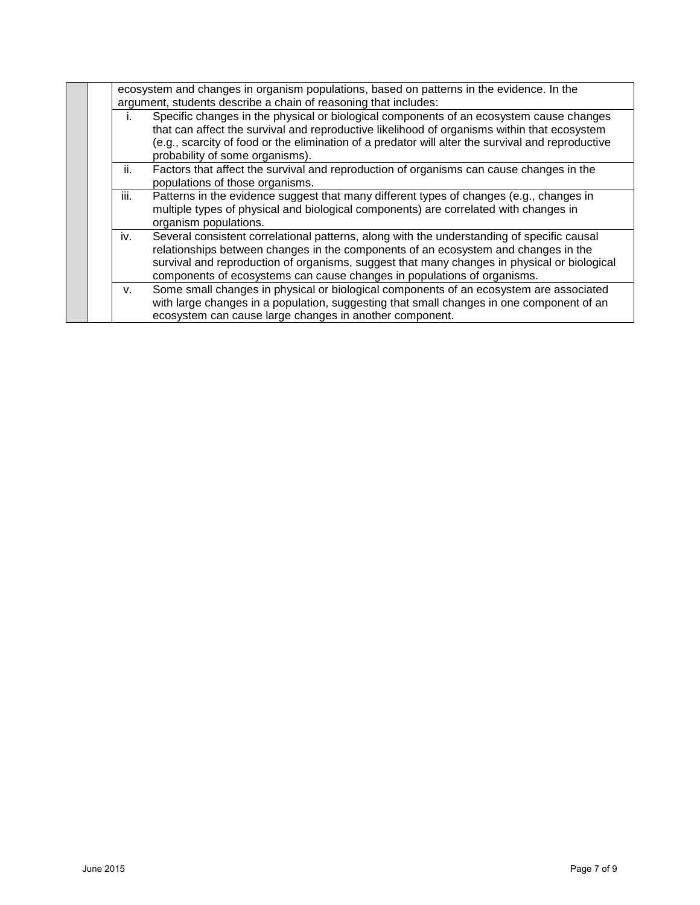|      | ecosystem and changes in organism populations, based on patterns in the evidence. In the<br>argument, students describe a chain of reasoning that includes:                                                                                                                                                                                                |
|------|------------------------------------------------------------------------------------------------------------------------------------------------------------------------------------------------------------------------------------------------------------------------------------------------------------------------------------------------------------|
| ı.   | Specific changes in the physical or biological components of an ecosystem cause changes<br>that can affect the survival and reproductive likelihood of organisms within that ecosystem<br>(e.g., scarcity of food or the elimination of a predator will alter the survival and reproductive<br>probability of some organisms).                             |
| ii.  | Factors that affect the survival and reproduction of organisms can cause changes in the<br>populations of those organisms.                                                                                                                                                                                                                                 |
| iii. | Patterns in the evidence suggest that many different types of changes (e.g., changes in<br>multiple types of physical and biological components) are correlated with changes in<br>organism populations.                                                                                                                                                   |
| iv.  | Several consistent correlational patterns, along with the understanding of specific causal<br>relationships between changes in the components of an ecosystem and changes in the<br>survival and reproduction of organisms, suggest that many changes in physical or biological<br>components of ecosystems can cause changes in populations of organisms. |
| V.   | Some small changes in physical or biological components of an ecosystem are associated<br>with large changes in a population, suggesting that small changes in one component of an<br>ecosystem can cause large changes in another component.                                                                                                              |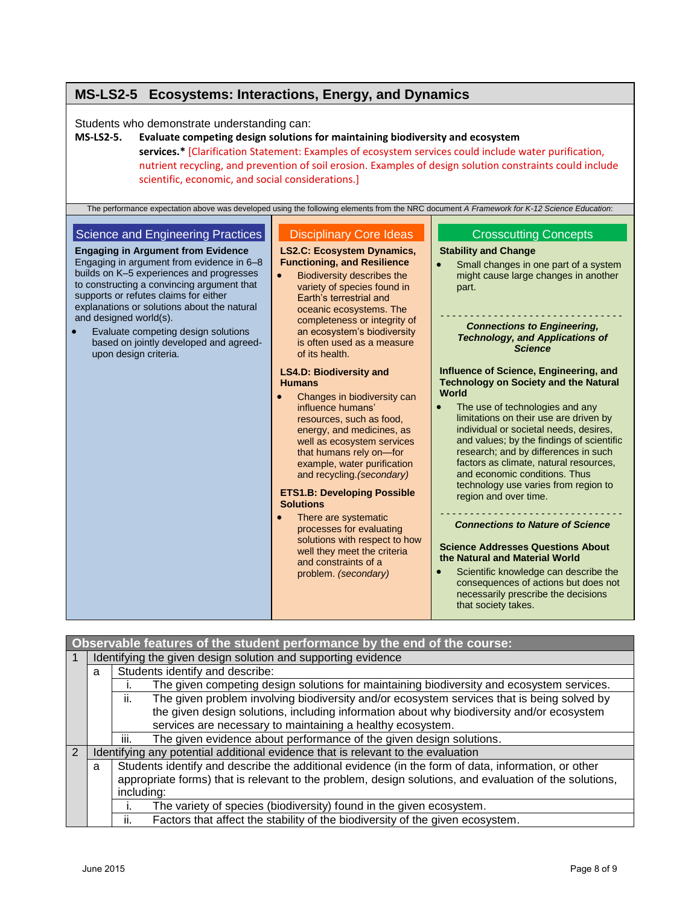## **MS-LS2-5 Ecosystems: Interactions, Energy, and Dynamics**

Students who demonstrate understanding can:

### **MS-LS2-5. Evaluate competing design solutions for maintaining biodiversity and ecosystem services.\*** [Clarification Statement: Examples of ecosystem services could include water purification, nutrient recycling, and prevention of soil erosion. Examples of design solution constraints could include scientific, economic, and social considerations.]

| The performance expectation above was developed using the following elements from the NRC document A Framework for K-12 Science Education:                                                                                                                                                                                                                                                                                                        |                                                                                                                                                                                                                                                                                                                                                                                                                                                                                                                  |                                                                                                                                                                                                                                                                                                                                                                                                                                                                                                                                                                                                                                                                                                                                 |
|---------------------------------------------------------------------------------------------------------------------------------------------------------------------------------------------------------------------------------------------------------------------------------------------------------------------------------------------------------------------------------------------------------------------------------------------------|------------------------------------------------------------------------------------------------------------------------------------------------------------------------------------------------------------------------------------------------------------------------------------------------------------------------------------------------------------------------------------------------------------------------------------------------------------------------------------------------------------------|---------------------------------------------------------------------------------------------------------------------------------------------------------------------------------------------------------------------------------------------------------------------------------------------------------------------------------------------------------------------------------------------------------------------------------------------------------------------------------------------------------------------------------------------------------------------------------------------------------------------------------------------------------------------------------------------------------------------------------|
| Science and Engineering Practices<br><b>Engaging in Argument from Evidence</b><br>Engaging in argument from evidence in 6-8<br>builds on K-5 experiences and progresses<br>to constructing a convincing argument that<br>supports or refutes claims for either<br>explanations or solutions about the natural<br>and designed world(s).<br>Evaluate competing design solutions<br>based on jointly developed and agreed-<br>upon design criteria. | <b>Disciplinary Core Ideas</b><br><b>LS2.C: Ecosystem Dynamics,</b><br><b>Functioning, and Resilience</b><br><b>Biodiversity describes the</b><br>$\bullet$<br>variety of species found in<br>Earth's terrestrial and<br>oceanic ecosystems. The<br>completeness or integrity of<br>an ecosystem's biodiversity<br>is often used as a measure<br>of its health.                                                                                                                                                  | <b>Crosscutting Concepts</b><br><b>Stability and Change</b><br>Small changes in one part of a system<br>$\bullet$<br>might cause large changes in another<br>part.<br><b>Connections to Engineering,</b><br><b>Technology, and Applications of</b><br><b>Science</b>                                                                                                                                                                                                                                                                                                                                                                                                                                                            |
|                                                                                                                                                                                                                                                                                                                                                                                                                                                   | <b>LS4.D: Biodiversity and</b><br><b>Humans</b><br>Changes in biodiversity can<br>influence humans'<br>resources, such as food,<br>energy, and medicines, as<br>well as ecosystem services<br>that humans rely on-for<br>example, water purification<br>and recycling. (secondary)<br><b>ETS1.B: Developing Possible</b><br><b>Solutions</b><br>There are systematic<br>processes for evaluating<br>solutions with respect to how<br>well they meet the criteria<br>and constraints of a<br>problem. (secondary) | Influence of Science, Engineering, and<br><b>Technology on Society and the Natural</b><br>World<br>The use of technologies and any<br>limitations on their use are driven by<br>individual or societal needs, desires,<br>and values; by the findings of scientific<br>research; and by differences in such<br>factors as climate, natural resources,<br>and economic conditions. Thus<br>technology use varies from region to<br>region and over time.<br><b>Connections to Nature of Science</b><br><b>Science Addresses Questions About</b><br>the Natural and Material World<br>Scientific knowledge can describe the<br>consequences of actions but does not<br>necessarily prescribe the decisions<br>that society takes. |

|   |   | Observable features of the student performance by the end of the course:                               |
|---|---|--------------------------------------------------------------------------------------------------------|
|   |   | Identifying the given design solution and supporting evidence                                          |
|   | a | Students identify and describe:                                                                        |
|   |   | The given competing design solutions for maintaining biodiversity and ecosystem services.              |
|   |   | The given problem involving biodiversity and/or ecosystem services that is being solved by<br>ii.      |
|   |   | the given design solutions, including information about why biodiversity and/or ecosystem              |
|   |   | services are necessary to maintaining a healthy ecosystem.                                             |
|   |   | The given evidence about performance of the given design solutions.<br>iii.                            |
| 2 |   | Identifying any potential additional evidence that is relevant to the evaluation                       |
|   | a | Students identify and describe the additional evidence (in the form of data, information, or other     |
|   |   | appropriate forms) that is relevant to the problem, design solutions, and evaluation of the solutions, |
|   |   | including:                                                                                             |
|   |   | The variety of species (biodiversity) found in the given ecosystem.                                    |
|   |   | Factors that affect the stability of the biodiversity of the given ecosystem.<br>ii.                   |